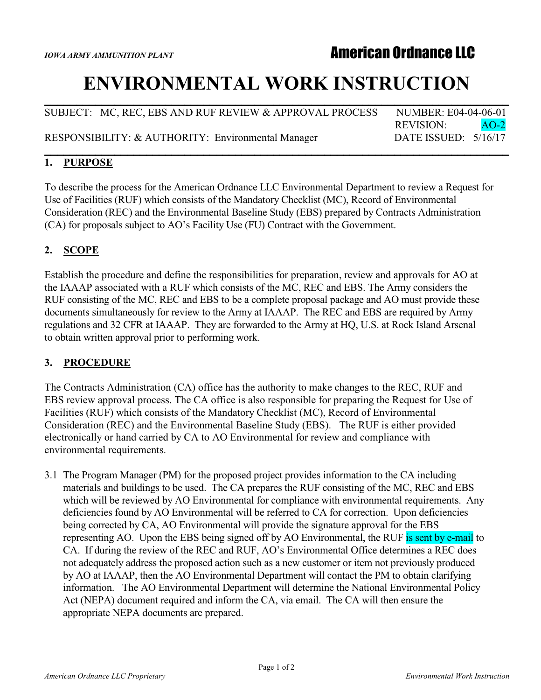# **IOWA ARMY AMMUNITION PLANT**

# **ENVIRONMENTAL WORK INSTRUCTION**

SUBJECT: MC, REC, EBS AND RUF REVIEW & APPROVAL PROCESS NUMBER: E04-04-06-01 REVISION: AO-2 RESPONSIBILITY: & AUTHORITY: Environmental Manager DATE ISSUED: 5/16/17 **\_\_\_\_\_\_\_\_\_\_\_\_\_\_\_\_\_\_\_\_\_\_\_\_\_\_\_\_\_\_\_\_\_\_\_\_\_\_\_\_\_\_\_\_\_\_\_\_\_\_\_\_\_\_\_\_\_\_\_\_\_\_\_\_\_\_\_\_\_\_\_\_\_**

**\_\_\_\_\_\_\_\_\_\_\_\_\_\_\_\_\_\_\_\_\_\_\_\_\_\_\_\_\_\_\_\_\_\_\_\_\_\_\_\_\_\_\_\_\_\_\_\_\_\_\_\_\_\_\_\_\_\_\_\_\_\_\_\_\_\_\_\_\_\_\_\_\_**

#### **1. PURPOSE**

To describe the process for the American Ordnance LLC Environmental Department to review a Request for Use of Facilities (RUF) which consists of the Mandatory Checklist (MC), Record of Environmental Consideration (REC) and the Environmental Baseline Study (EBS) prepared by Contracts Administration (CA) for proposals subject to AO's Facility Use (FU) Contract with the Government.

## **2. SCOPE**

Establish the procedure and define the responsibilities for preparation, review and approvals for AO at the IAAAP associated with a RUF which consists of the MC, REC and EBS. The Army considers the RUF consisting of the MC, REC and EBS to be a complete proposal package and AO must provide these documents simultaneously for review to the Army at IAAAP. The REC and EBS are required by Army regulations and 32 CFR at IAAAP. They are forwarded to the Army at HQ, U.S. at Rock Island Arsenal to obtain written approval prior to performing work.

### **3. PROCEDURE**

The Contracts Administration (CA) office has the authority to make changes to the REC, RUF and EBS review approval process. The CA office is also responsible for preparing the Request for Use of Facilities (RUF) which consists of the Mandatory Checklist (MC), Record of Environmental Consideration (REC) and the Environmental Baseline Study (EBS). The RUF is either provided electronically or hand carried by CA to AO Environmental for review and compliance with environmental requirements.

3.1 The Program Manager (PM) for the proposed project provides information to the CA including materials and buildings to be used. The CA prepares the RUF consisting of the MC, REC and EBS which will be reviewed by AO Environmental for compliance with environmental requirements. Any deficiencies found by AO Environmental will be referred to CA for correction. Upon deficiencies being corrected by CA, AO Environmental will provide the signature approval for the EBS representing AO. Upon the EBS being signed off by AO Environmental, the RUF is sent by e-mail to CA. If during the review of the REC and RUF, AO's Environmental Office determines a REC does not adequately address the proposed action such as a new customer or item not previously produced by AO at IAAAP, then the AO Environmental Department will contact the PM to obtain clarifying information. The AO Environmental Department will determine the National Environmental Policy Act (NEPA) document required and inform the CA, via email. The CA will then ensure the appropriate NEPA documents are prepared.